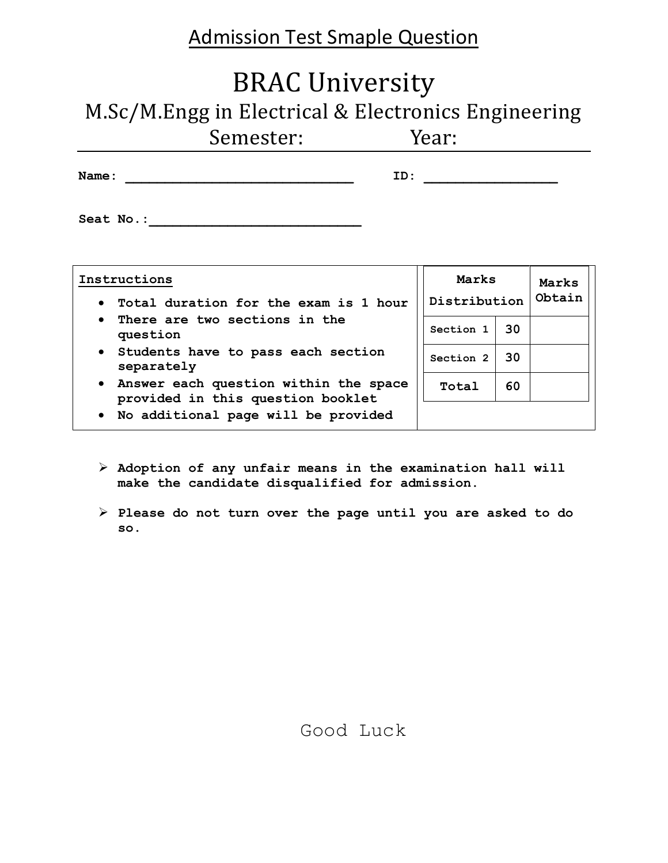# Admission Test Smaple Question

# BRAC University

M.Sc/M.Engg in Electrical & Electronics Engineering

| <b>Name :</b><br>-------- |  |  |
|---------------------------|--|--|
|                           |  |  |

| Seat No.: |  |  |  |  |  |
|-----------|--|--|--|--|--|
|           |  |  |  |  |  |

| Instructions<br>Total duration for the exam is 1 hour<br>$\bullet$                      | Marks<br>Distribution |    | Marks<br>Obtain |
|-----------------------------------------------------------------------------------------|-----------------------|----|-----------------|
| There are two sections in the<br>$\bullet$<br>question                                  | Section 1             | 30 |                 |
| • Students have to pass each section<br>separately                                      | Section 2             | 30 |                 |
| Answer each question within the space<br>$\bullet$<br>provided in this question booklet | Total                 | 60 |                 |
| . No additional page will be provided                                                   |                       |    |                 |

- **Adoption of any unfair means in the examination hall will make the candidate disqualified for admission.**
- **Please do not turn over the page until you are asked to do so.**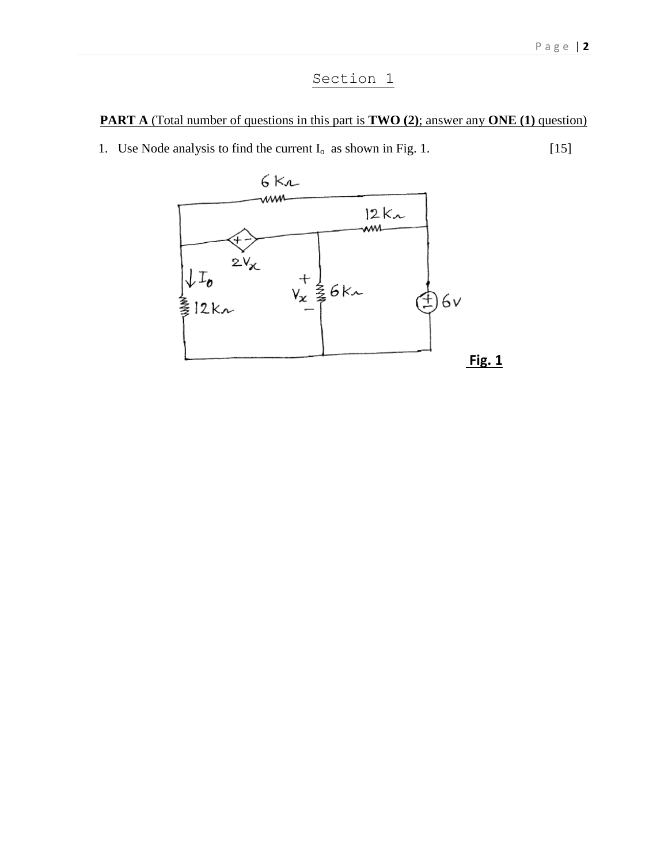## Section 1

#### **PART A** (Total number of questions in this part is **TWO** (2); answer any **ONE** (1) question)

1. Use Node analysis to find the current  $I_0$  as shown in Fig. 1. [15]

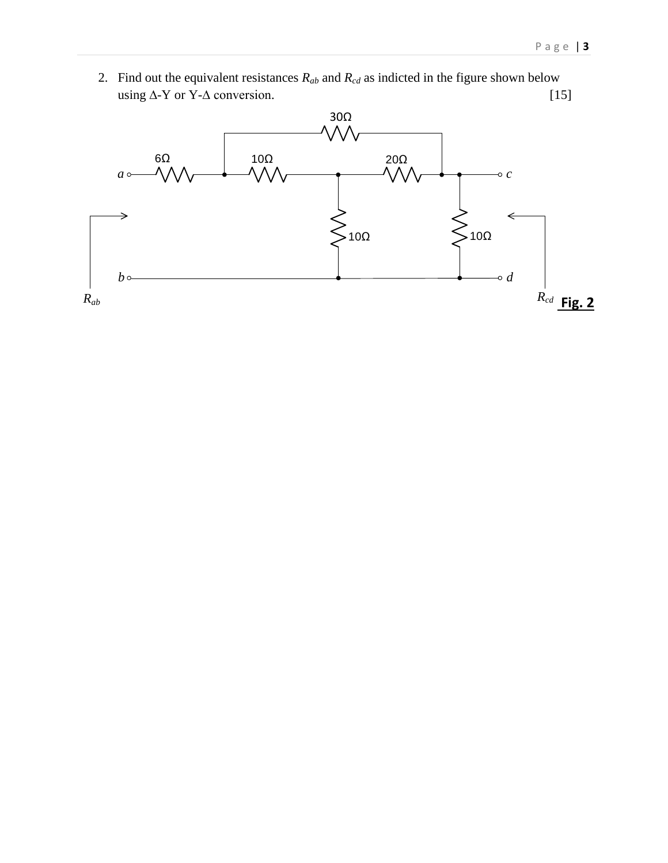2. Find out the equivalent resistances  $R_{ab}$  and  $R_{cd}$  as indicted in the figure shown below using  $\Delta$ -Y or Y- $\Delta$  conversion. [15]

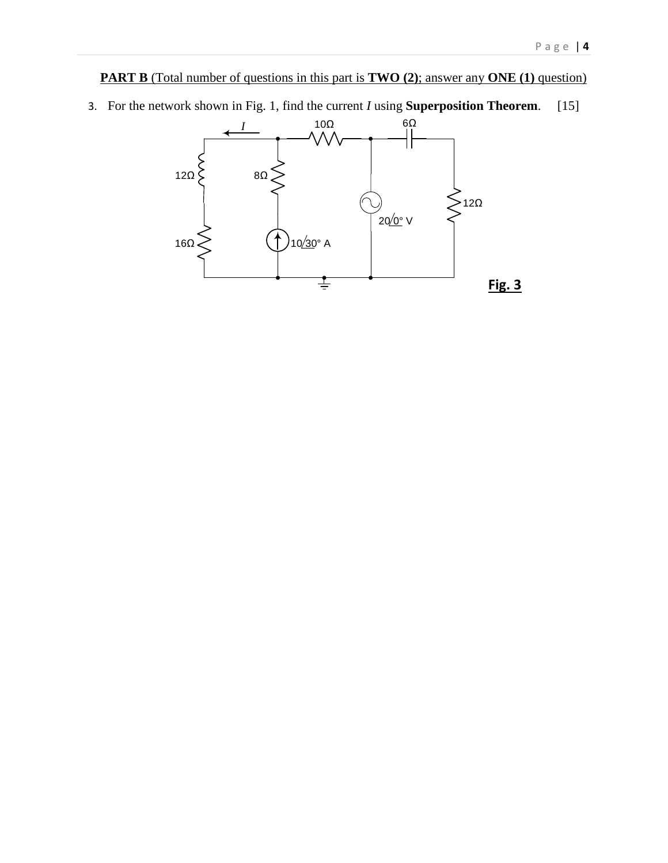#### **PART B** (Total number of questions in this part is **TWO** (2); answer any **ONE** (1) question)

3. For the network shown in Fig. 1, find the current *I* using **Superposition Theorem**. [15]

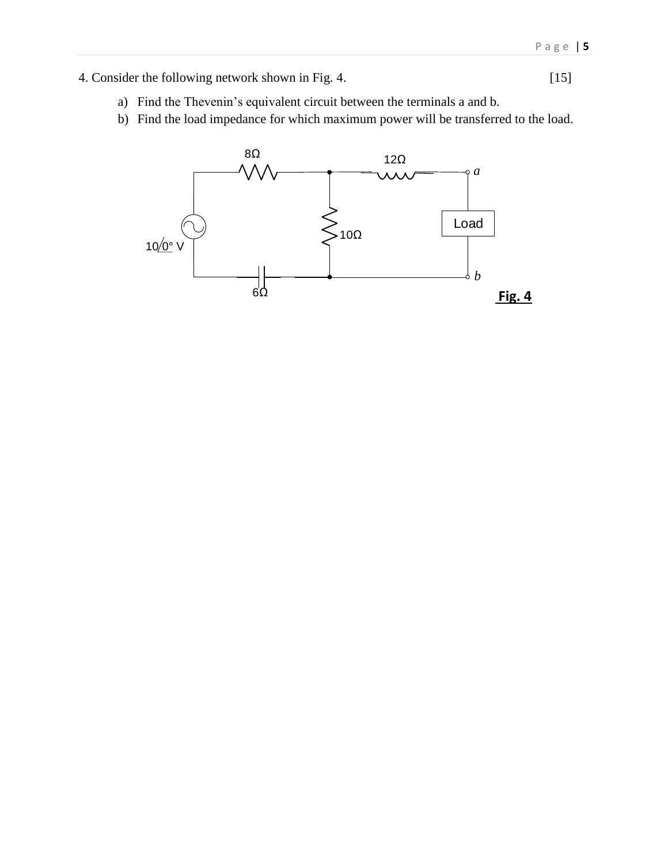4. Consider the following network shown in Fig. 4.

$$
[15]
$$

- a) Find the Thevenin's equivalent circuit between the terminals a and b.
- b) Find the load impedance for which maximum power will be transferred to the load.